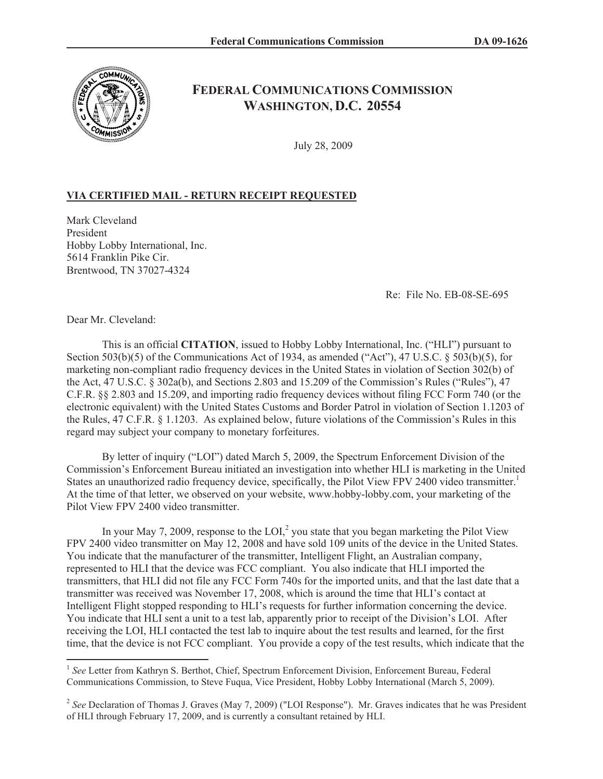

## **FEDERAL COMMUNICATIONS COMMISSION WASHINGTON, D.C. 20554**

July 28, 2009

## **VIA CERTIFIED MAIL - RETURN RECEIPT REQUESTED**

Mark Cleveland President Hobby Lobby International, Inc. 5614 Franklin Pike Cir. Brentwood, TN 37027-4324

Re: File No. EB-08-SE-695

Dear Mr. Cleveland:

This is an official **CITATION**, issued to Hobby Lobby International, Inc. ("HLI") pursuant to Section 503(b)(5) of the Communications Act of 1934, as amended ("Act"), 47 U.S.C. § 503(b)(5), for marketing non-compliant radio frequency devices in the United States in violation of Section 302(b) of the Act, 47 U.S.C. § 302a(b), and Sections 2.803 and 15.209 of the Commission's Rules ("Rules"), 47 C.F.R. §§ 2.803 and 15.209, and importing radio frequency devices without filing FCC Form 740 (or the electronic equivalent) with the United States Customs and Border Patrol in violation of Section 1.1203 of the Rules, 47 C.F.R. § 1.1203. As explained below, future violations of the Commission's Rules in this regard may subject your company to monetary forfeitures.

By letter of inquiry ("LOI") dated March 5, 2009, the Spectrum Enforcement Division of the Commission's Enforcement Bureau initiated an investigation into whether HLI is marketing in the United States an unauthorized radio frequency device, specifically, the Pilot View FPV 2400 video transmitter.<sup>1</sup> At the time of that letter, we observed on your website, www.hobby-lobby.com, your marketing of the Pilot View FPV 2400 video transmitter.

In your May 7, 2009, response to the LOI,<sup>2</sup> you state that you began marketing the Pilot View FPV 2400 video transmitter on May 12, 2008 and have sold 109 units of the device in the United States. You indicate that the manufacturer of the transmitter, Intelligent Flight, an Australian company, represented to HLI that the device was FCC compliant. You also indicate that HLI imported the transmitters, that HLI did not file any FCC Form 740s for the imported units, and that the last date that a transmitter was received was November 17, 2008, which is around the time that HLI's contact at Intelligent Flight stopped responding to HLI's requests for further information concerning the device. You indicate that HLI sent a unit to a test lab, apparently prior to receipt of the Division's LOI. After receiving the LOI, HLI contacted the test lab to inquire about the test results and learned, for the first time, that the device is not FCC compliant. You provide a copy of the test results, which indicate that the

<sup>&</sup>lt;sup>1</sup> See Letter from Kathryn S. Berthot, Chief, Spectrum Enforcement Division, Enforcement Bureau, Federal Communications Commission, to Steve Fuqua, Vice President, Hobby Lobby International (March 5, 2009).

<sup>&</sup>lt;sup>2</sup> See Declaration of Thomas J. Graves (May 7, 2009) ("LOI Response"). Mr. Graves indicates that he was President of HLI through February 17, 2009, and is currently a consultant retained by HLI.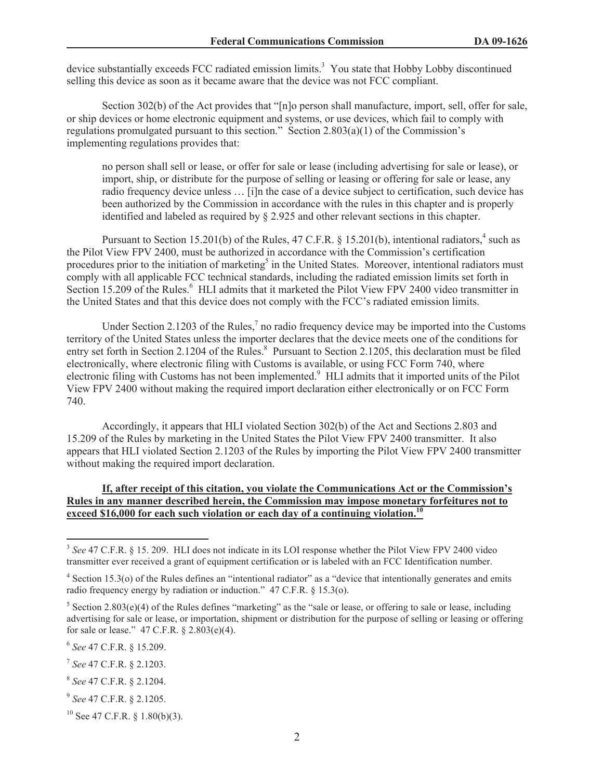device substantially exceeds FCC radiated emission limits.<sup>3</sup> You state that Hobby Lobby discontinued selling this device as soon as it became aware that the device was not FCC compliant.

Section 302(b) of the Act provides that "[n]o person shall manufacture, import, sell, offer for sale, or ship devices or home electronic equipment and systems, or use devices, which fail to comply with regulations promulgated pursuant to this section." Section  $2.803(a)(1)$  of the Commission's implementing regulations provides that:

no person shall sell or lease, or offer for sale or lease (including advertising for sale or lease), or import, ship, or distribute for the purpose of selling or leasing or offering for sale or lease, any radio frequency device unless … [i]n the case of a device subject to certification, such device has been authorized by the Commission in accordance with the rules in this chapter and is properly identified and labeled as required by  $\S 2.925$  and other relevant sections in this chapter.

Pursuant to Section 15.201(b) of the Rules, 47 C.F.R. § 15.201(b), intentional radiators,<sup>4</sup> such as the Pilot View FPV 2400, must be authorized in accordance with the Commission's certification procedures prior to the initiation of marketing<sup>5</sup> in the United States. Moreover, intentional radiators must comply with all applicable FCC technical standards, including the radiated emission limits set forth in Section 15.209 of the Rules.<sup>6</sup> HLI admits that it marketed the Pilot View FPV 2400 video transmitter in the United States and that this device does not comply with the FCC's radiated emission limits.

Under Section 2.1203 of the Rules, $<sup>7</sup>$  no radio frequency device may be imported into the Customs</sup> territory of the United States unless the importer declares that the device meets one of the conditions for entry set forth in Section 2.1204 of the Rules.<sup>8</sup> Pursuant to Section 2.1205, this declaration must be filed electronically, where electronic filing with Customs is available, or using FCC Form 740, where electronic filing with Customs has not been implemented.<sup>9</sup> HLI admits that it imported units of the Pilot View FPV 2400 without making the required import declaration either electronically or on FCC Form 740.

Accordingly, it appears that HLI violated Section 302(b) of the Act and Sections 2.803 and 15.209 of the Rules by marketing in the United States the Pilot View FPV 2400 transmitter. It also appears that HLI violated Section 2.1203 of the Rules by importing the Pilot View FPV 2400 transmitter without making the required import declaration.

## **If, after receipt of this citation, you violate the Communications Act or the Commission's Rules in any manner described herein, the Commission may impose monetary forfeitures not to exceed \$16,000 for each such violation or each day of a continuing violation.<sup>10</sup>**

<sup>&</sup>lt;sup>3</sup> See 47 C.F.R. § 15. 209. HLI does not indicate in its LOI response whether the Pilot View FPV 2400 video transmitter ever received a grant of equipment certification or is labeled with an FCC Identification number.

<sup>&</sup>lt;sup>4</sup> Section 15.3(o) of the Rules defines an "intentional radiator" as a "device that intentionally generates and emits radio frequency energy by radiation or induction." 47 C.F.R. § 15.3(o).

<sup>&</sup>lt;sup>5</sup> Section 2.803(e)(4) of the Rules defines "marketing" as the "sale or lease, or offering to sale or lease, including advertising for sale or lease, or importation, shipment or distribution for the purpose of selling or leasing or offering for sale or lease." 47 C.F.R. § 2.803(e)(4).

<sup>6</sup> *See* 47 C.F.R. § 15.209.

<sup>7</sup> *See* 47 C.F.R. § 2.1203.

<sup>8</sup> *See* 47 C.F.R. § 2.1204.

<sup>9</sup> *See* 47 C.F.R. § 2.1205.

 $10$  See 47 C.F.R. § 1.80(b)(3).